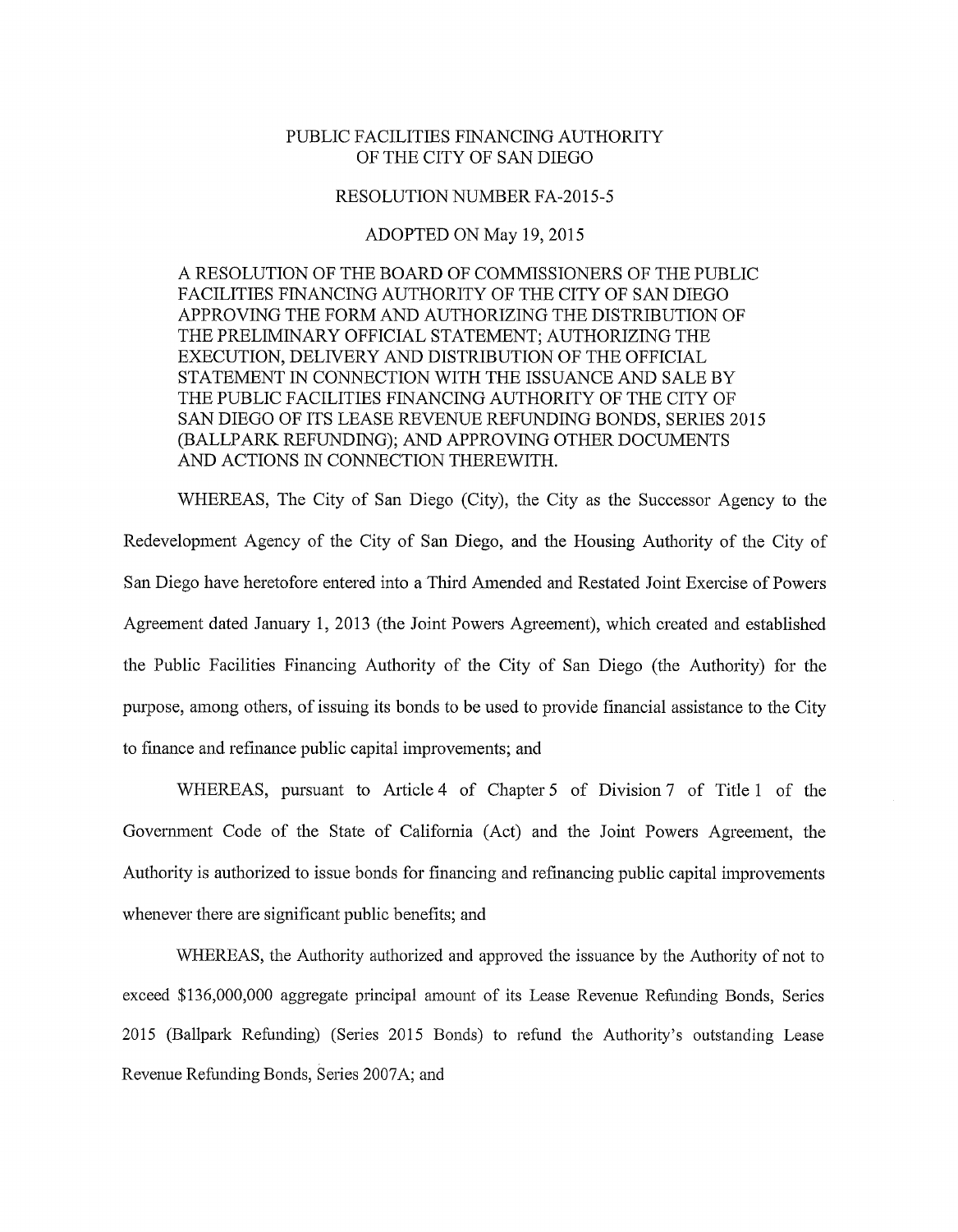## PUBLIC FACILITIES FINANCING AUTHORITY OF THE CITY OF SAN DIEGO

## RESOLUTION NUMBER FA-2015-5

## ADOPTED ON May 19,2015

A RESOLUTION OF THE BOARD OF COMMISSIONERS OF THE PUBLIC FACILITIES FINANCING AUTHORITY OF THE CITY OF SAN DIEGO APPROVING THE FORM AND AUTHORIZING THE DISTRIBUTION OF THE PRELIMINARY OFFICIAL STATEMENT; AUTHORIZING THE EXECUTION, DELIVERY AND DISTRIBUTION OF THE OFFICIAL STATEMENT IN CONNECTION WITH THE ISSUANCE AND SALE BY THE PUBLIC FACILITIES FINANCING AUTHORITY OF THE CITY OF SAN DIEGO OF ITS LEASE REVENUE REFUNDING BONDS, SERIES 2015 (BALLPARK REFUNDING); AND APPROVING OTHER DOCUMENTS AND ACTIONS IN CONNECTION THEREWITH.

WHEREAS, The City of San Diego (City), the City as the Successor Agency to the Redevelopment Agency of the City of San Diego, and the Housing Authority of the City of San Diego have heretofore entered into a Third Amended and Restated Joint Exercise of Powers Agreement dated January 1, 2013 (the Joint Powers Agreement), which created and established the Public Facilities Financing Authority of the City of San Diego (the Authority) for the purpose, among others, of issuing its bonds to be used to provide financial assistance to the City to fmance and refinance public capital improvements; and

WHEREAS, pursuant to Article 4 of Chapter 5 of Division 7 of Title 1 of the Government Code of the State of California (Act) and the Joint Powers Agreement, the Authority is authorized to issue bonds for financing and refinancing public capital improvements whenever there are significant public benefits; and

WHEREAS, the Authority authorized and approved the issuance by the Authority of not to exceed \$136,000,000 aggregate principal amount of its Lease Revenue Refunding Bonds, Series 2015 (Ballpark Refunding) (Series 2015 Bonds) to refund the Authority's outstanding Lease Revenue Refunding Bonds, Series 2007A; and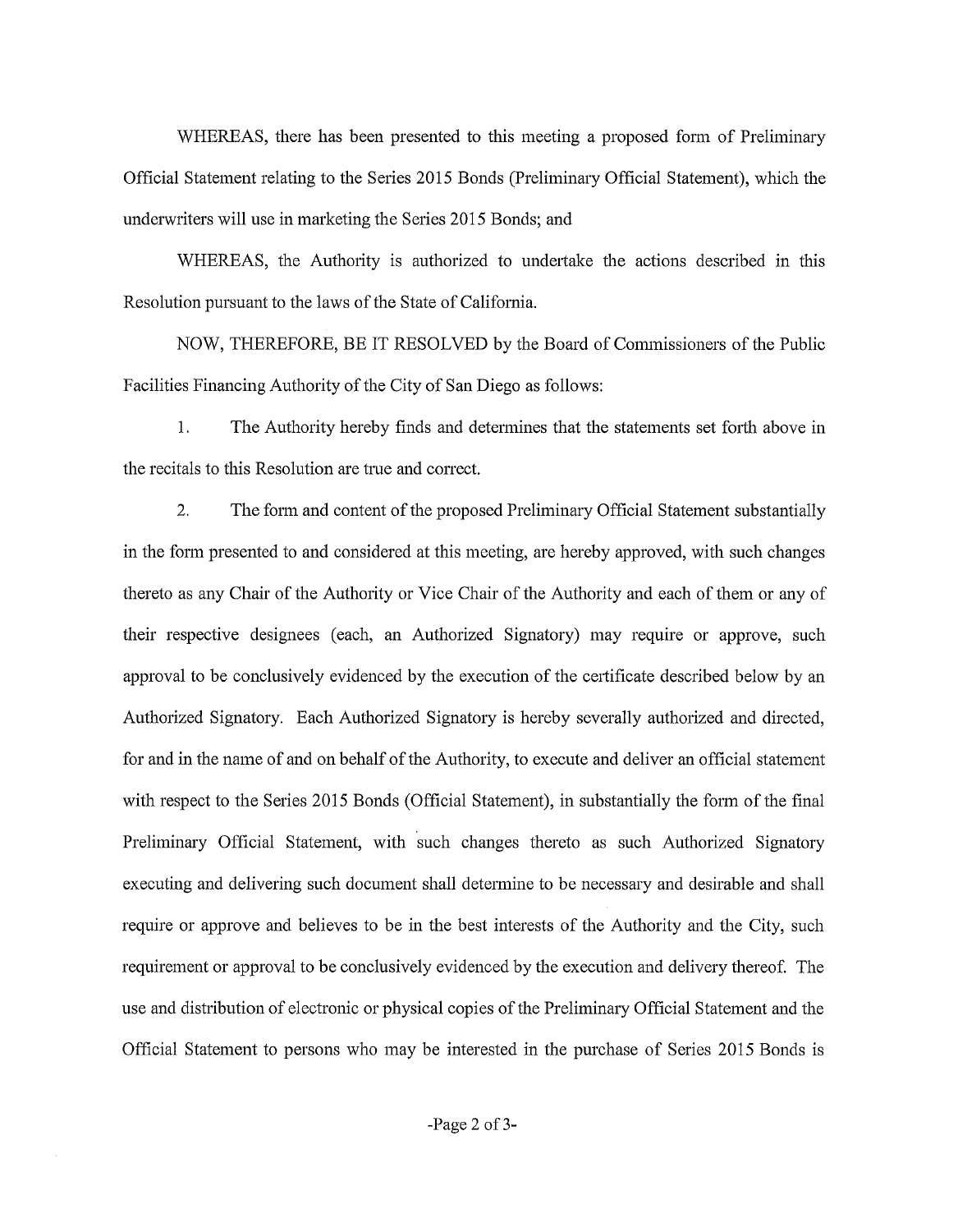WHEREAS, there has been presented to this meeting a proposed form of Preliminary Official Statement relating to the Series 2015 Bonds (Preliminary Official Statement), which the underwriters will use in marketing the Series 2015 Bonds; and

WHEREAS, the Authority is authorized to undertake the actions described in this Resolution pursuant to the laws of the State of Califomia.

NOW, THEREFORE, BE IT RESOLVED by the Board of Commissioners of the Public Facilities Financing Authority of the City of San Diego as follows:

1. The Authority hereby finds and determines that the statements set forth above in the recitals to this Resolution are tme and conect.

2. The form and content of the proposed Preliminary Official Statement substantially in the fonn presented to and considered at this meeting, are hereby approved, with such changes thereto as any Chair of the Authority or Vice Chair of the Authority and each of them or any of their respective designees (each, an Authorized Signatory) may require or approve, such approval to be conclusively evidenced by the execution of the certificate described below by an Authorized Signatory. Each Authorized Signatory is hereby severally authorized and directed, for and in the name of and on behalf of the Authority, to execute and deliver an official statement with respect to the Series 2015 Bonds (Official Statement), in substantially the fonn of the final Preliminary Official Statement, with such changes thereto as such Authorized Signatory executing and delivering such document shall determine to be necessary and desirable and shall require or approve and believes to be in the best interests of the Authority and the City, such requirement or approval to be conclusively evidenced by the execution and delivery thereof. The use and distribution of electronic or physical copies of the Preliminary Official Statement and the Official Statement to persons who may be interested in the purchase of Series 2015 Bonds is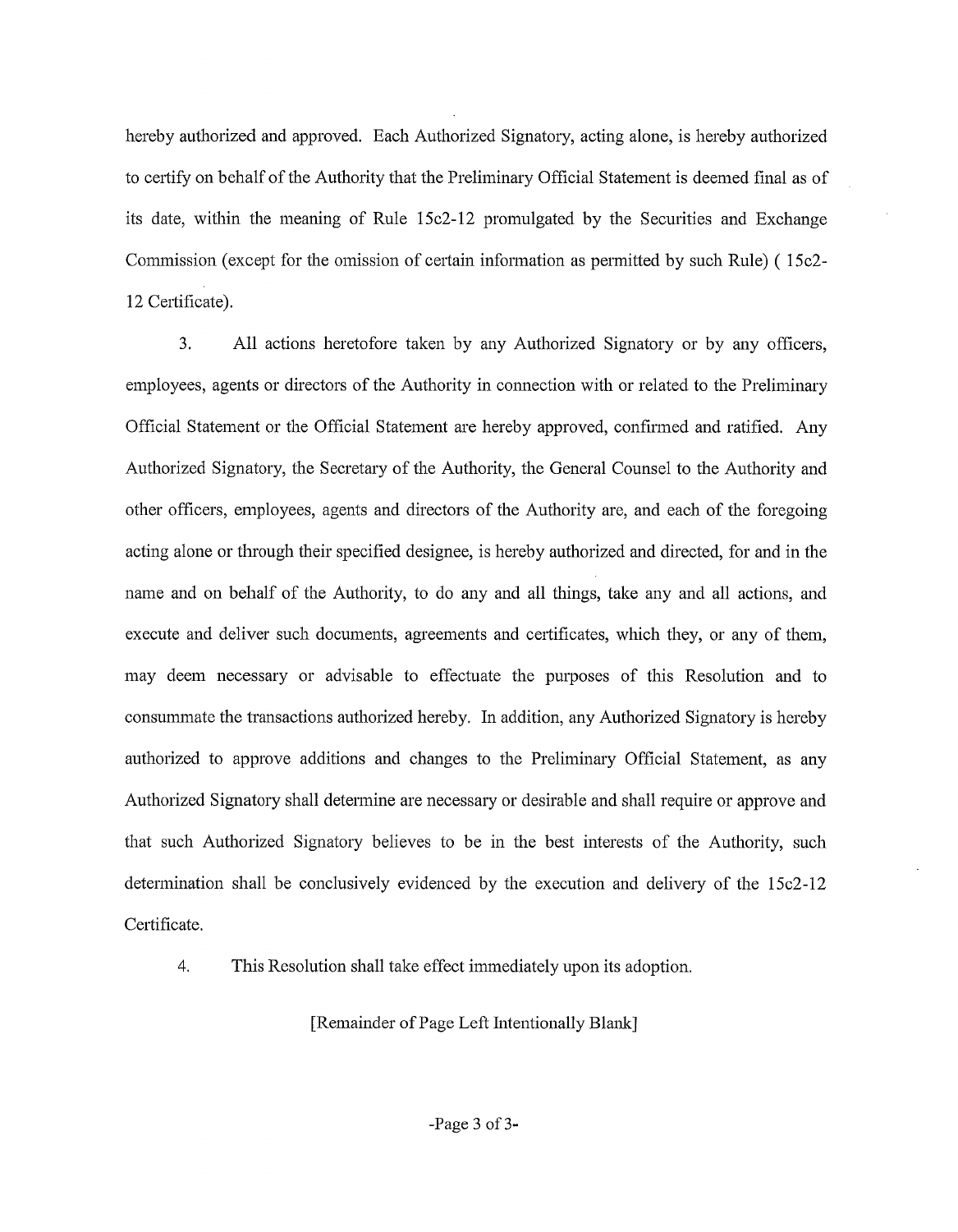hereby authorized and approved. Each Authorized Signatory, acting alone, is hereby authorized to certify on behalf of the Authority that the Preliminary Official Statement is deemed final as of its date, within the meaning of Rule 15c2-12 promulgated by the Securities and Exchange Commission (except for the omission of certain information as permitted by such Rule) ( $15c2$ -12 Certificate).

3. All actions heretofore taken by any Authorized Signatory or by any officers, employees, agents or directors of the Authority in connection with or related to the Preliminary Official Statement or the Official Statement are hereby approved, confirmed and ratified. Any Authorized Signatory, the Secretary of the Authority, the General Counsel to the Authority and other officers, employees, agents and directors of the Authority are, and each of the foregoing acting alone or through their specified designee, is hereby authorized and directed, for and in the name and on behalf of the Authority, to do any and all things, take any and all actions, and execute and deliver such documents, agreements and certificates, which they, or any of them, may deem necessary or advisable to effectuate the purposes of this Resolution and to consummate the transactions authorized hereby. In addition, any Authorized Signatory is hereby authorized to approve additions and changes to the Preliminary Official Statement, as any Authorized Signatory shall detennine are necessary or desirable and shall require or approve and that such Authorized Signatory believes to be in the best interests of the Authority, such determination shall be conclusively evidenced by the execution and delivery of the 15c2-12 Certificate.

4. This Resolution shall take effect immediately upon its adoption.

[Remainder of Page Left Intentionally Blank]